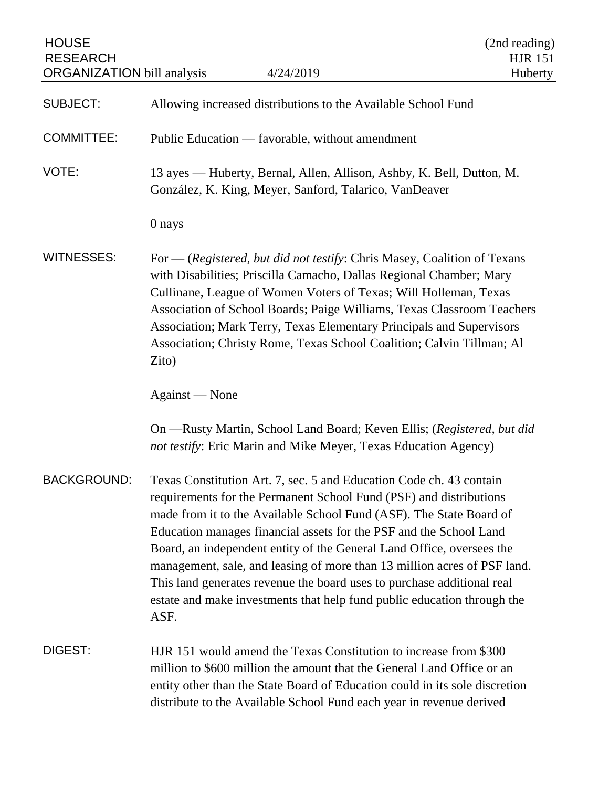| <b>HOUSE</b><br><b>RESEARCH</b><br><b>ORGANIZATION</b> bill analysis | 4/24/2019                                                                                                                                                                                                                                                                                                                                                                                                                                                                                                                                                                                                | (2nd reading)<br><b>HJR 151</b><br>Huberty |
|----------------------------------------------------------------------|----------------------------------------------------------------------------------------------------------------------------------------------------------------------------------------------------------------------------------------------------------------------------------------------------------------------------------------------------------------------------------------------------------------------------------------------------------------------------------------------------------------------------------------------------------------------------------------------------------|--------------------------------------------|
| <b>SUBJECT:</b>                                                      | Allowing increased distributions to the Available School Fund                                                                                                                                                                                                                                                                                                                                                                                                                                                                                                                                            |                                            |
| <b>COMMITTEE:</b>                                                    | Public Education — favorable, without amendment                                                                                                                                                                                                                                                                                                                                                                                                                                                                                                                                                          |                                            |
| VOTE:                                                                | 13 ayes — Huberty, Bernal, Allen, Allison, Ashby, K. Bell, Dutton, M.<br>González, K. King, Meyer, Sanford, Talarico, VanDeaver                                                                                                                                                                                                                                                                                                                                                                                                                                                                          |                                            |
|                                                                      | 0 nays                                                                                                                                                                                                                                                                                                                                                                                                                                                                                                                                                                                                   |                                            |
| <b>WITNESSES:</b>                                                    | For $-$ (Registered, but did not testify: Chris Masey, Coalition of Texans<br>with Disabilities; Priscilla Camacho, Dallas Regional Chamber; Mary<br>Cullinane, League of Women Voters of Texas; Will Holleman, Texas<br>Association of School Boards; Paige Williams, Texas Classroom Teachers<br>Association; Mark Terry, Texas Elementary Principals and Supervisors<br>Association; Christy Rome, Texas School Coalition; Calvin Tillman; Al<br>Zito)                                                                                                                                                |                                            |
|                                                                      | Against — None                                                                                                                                                                                                                                                                                                                                                                                                                                                                                                                                                                                           |                                            |
|                                                                      | On —Rusty Martin, School Land Board; Keven Ellis; (Registered, but did<br>not testify: Eric Marin and Mike Meyer, Texas Education Agency)                                                                                                                                                                                                                                                                                                                                                                                                                                                                |                                            |
| <b>BACKGROUND:</b>                                                   | Texas Constitution Art. 7, sec. 5 and Education Code ch. 43 contain<br>requirements for the Permanent School Fund (PSF) and distributions<br>made from it to the Available School Fund (ASF). The State Board of<br>Education manages financial assets for the PSF and the School Land<br>Board, an independent entity of the General Land Office, oversees the<br>management, sale, and leasing of more than 13 million acres of PSF land.<br>This land generates revenue the board uses to purchase additional real<br>estate and make investments that help fund public education through the<br>ASF. |                                            |
| DIGEST:                                                              | HJR 151 would amend the Texas Constitution to increase from \$300<br>million to \$600 million the amount that the General Land Office or an<br>entity other than the State Board of Education could in its sole discretion<br>distribute to the Available School Fund each year in revenue derived                                                                                                                                                                                                                                                                                                       |                                            |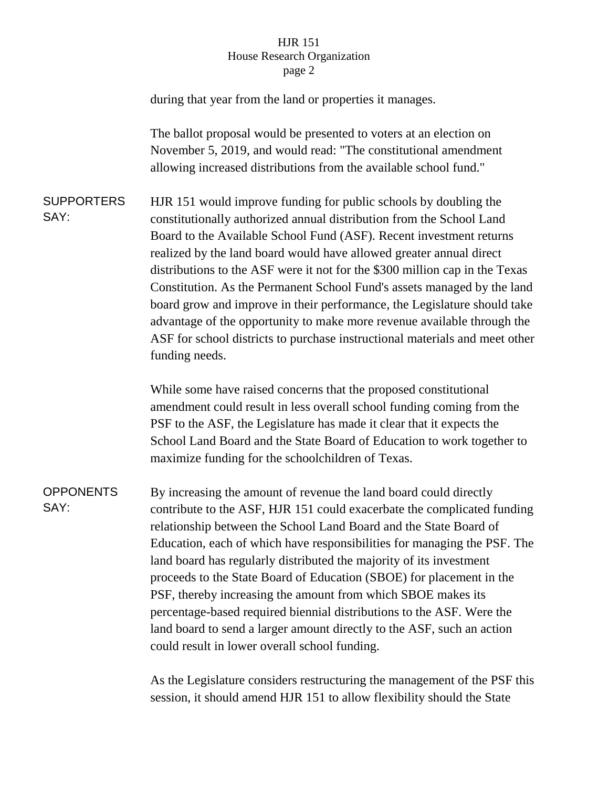## HJR 151 House Research Organization page 2

during that year from the land or properties it manages.

The ballot proposal would be presented to voters at an election on November 5, 2019, and would read: "The constitutional amendment allowing increased distributions from the available school fund."

**SUPPORTERS** SAY:

HJR 151 would improve funding for public schools by doubling the constitutionally authorized annual distribution from the School Land Board to the Available School Fund (ASF). Recent investment returns realized by the land board would have allowed greater annual direct distributions to the ASF were it not for the \$300 million cap in the Texas Constitution. As the Permanent School Fund's assets managed by the land board grow and improve in their performance, the Legislature should take advantage of the opportunity to make more revenue available through the ASF for school districts to purchase instructional materials and meet other funding needs.

While some have raised concerns that the proposed constitutional amendment could result in less overall school funding coming from the PSF to the ASF, the Legislature has made it clear that it expects the School Land Board and the State Board of Education to work together to maximize funding for the schoolchildren of Texas.

**OPPONENTS** SAY:

By increasing the amount of revenue the land board could directly contribute to the ASF, HJR 151 could exacerbate the complicated funding relationship between the School Land Board and the State Board of Education, each of which have responsibilities for managing the PSF. The land board has regularly distributed the majority of its investment proceeds to the State Board of Education (SBOE) for placement in the PSF, thereby increasing the amount from which SBOE makes its percentage-based required biennial distributions to the ASF. Were the land board to send a larger amount directly to the ASF, such an action could result in lower overall school funding.

As the Legislature considers restructuring the management of the PSF this session, it should amend HJR 151 to allow flexibility should the State